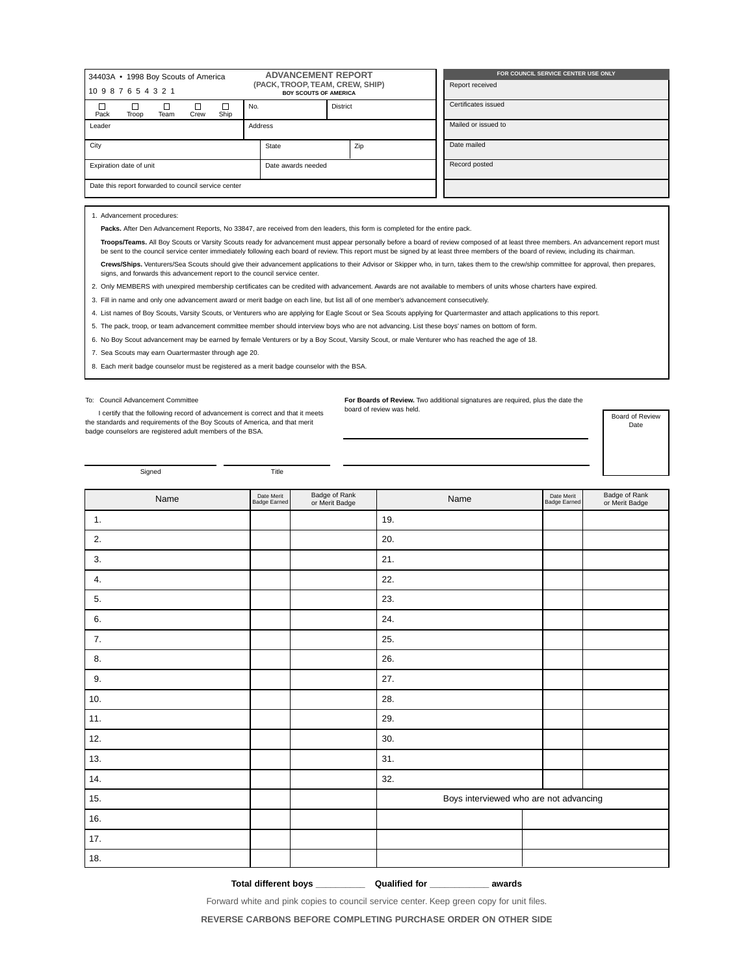| 34403A • 1998 Boy Scouts of America<br>10987654321   |                               |  |     |                 |                    | <b>ADVANCEMENT REPORT</b><br>(PACK, TROOP, TEAM, CREW, SHIP)<br><b>BOY SCOUTS OF AMERICA</b> |  |                     |               | FOR COUNCIL SERVICE CENTER USE ONLY<br>Report received |  |  |  |
|------------------------------------------------------|-------------------------------|--|-----|-----------------|--------------------|----------------------------------------------------------------------------------------------|--|---------------------|---------------|--------------------------------------------------------|--|--|--|
| Pack                                                 | Ship<br>Troop<br>Team<br>Crew |  | No. | <b>District</b> |                    |                                                                                              |  | Certificates issued |               |                                                        |  |  |  |
| Address<br>Leader                                    |                               |  |     |                 |                    |                                                                                              |  | Mailed or issued to |               |                                                        |  |  |  |
| City                                                 |                               |  |     |                 |                    | State                                                                                        |  | Zip                 |               | Date mailed                                            |  |  |  |
| Expiration date of unit                              |                               |  |     |                 | Date awards needed |                                                                                              |  |                     | Record posted |                                                        |  |  |  |
| Date this report forwarded to council service center |                               |  |     |                 |                    |                                                                                              |  |                     |               |                                                        |  |  |  |

1. Advancement procedures:

Packs. After Den Advancement Reports, No 33847, are received from den leaders, this form is completed for the entire pack.

**Troops/Teams.** All Boy Scouts or Varsity Scouts ready for advancement must appear personally before a board of review composed of at least three members. An advancement report must be sent to the council service center immediately following each board of review. This report must be signed by at least three members of the board of review, including its chairman.

**Crews/Ships.** Venturers/Sea Scouts should give their advancement applications to their Advisor or Skipper who, in turn, takes them to the crew/ship committee for approval, then prepares, signs, and forwards this advancement report to the council service center.

2. Only MEMBERS with unexpired membership certificates can be credited with advancement. Awards are not available to members of units whose charters have expired.

3. Fill in name and only one advancement award or merit badge on each line, but list all of one member's advancement consecutively.

4. List names of Boy Scouts, Varsity Scouts, or Venturers who are applying for Eagle Scout or Sea Scouts applying for Quartermaster and attach applications to this report.

5. The pack, troop, or team advancement committee member should interview boys who are not advancing. List these boys' names on bottom of form.

6. No Boy Scout advancement may be earned by female Venturers or by a Boy Scout, Varsity Scout, or male Venturer who has reached the age of 18.

7. Sea Scouts may earn Ouartermaster through age 20.

8. Each merit badge counselor must be registered as a merit badge counselor with the BSA.

## To: Council Advancement Committee

I certify that the following record of advancement is correct and that it meets the standards and requirements of the Boy Scouts of America, and that merit badge counselors are registered adult members of the BSA.

**For Boards of Review.** Two additional signatures are required, plus the date the board of review was held.

Board of Review Date

Signed Title

| Name  | Date Merit<br>Badge Earned | Badge of Rank<br>or Merit Badge | Name                                   | Date Merit<br>Badge Earned | Badge of Rank<br>or Merit Badge |
|-------|----------------------------|---------------------------------|----------------------------------------|----------------------------|---------------------------------|
| 1.    |                            |                                 | 19.                                    |                            |                                 |
| 2.    |                            |                                 | 20.                                    |                            |                                 |
| 3.    |                            |                                 | 21.                                    |                            |                                 |
| 4.    |                            |                                 | 22.                                    |                            |                                 |
| 5.    |                            |                                 | 23.                                    |                            |                                 |
| 6.    |                            |                                 | 24.                                    |                            |                                 |
| 7.    |                            |                                 | 25.                                    |                            |                                 |
| 8.    |                            |                                 | 26.                                    |                            |                                 |
| 9.    |                            |                                 | 27.                                    |                            |                                 |
| 10.   |                            |                                 | 28.                                    |                            |                                 |
| 11.   |                            |                                 | 29.                                    |                            |                                 |
| 12.   |                            |                                 | 30.                                    |                            |                                 |
| 13.   |                            |                                 | 31.                                    |                            |                                 |
| 14.   |                            |                                 | 32.                                    |                            |                                 |
| 15.   |                            |                                 | Boys interviewed who are not advancing |                            |                                 |
| 16.   |                            |                                 |                                        |                            |                                 |
| $17.$ |                            |                                 |                                        |                            |                                 |
| 18.   |                            |                                 |                                        |                            |                                 |

**Total different boys \_\_\_\_\_\_\_\_\_\_ Qualified for \_\_\_\_\_\_\_\_\_\_\_\_ awards**

Forward white and pink copies to council service center. Keep green copy for unit files.

**REVERSE CARBONS BEFORE COMPLETING PURCHASE ORDER ON OTHER SIDE**